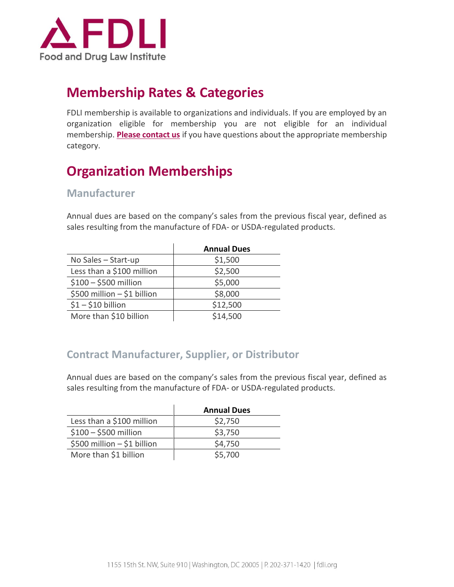

## **Membership Rates & Categories**

FDLI membership is available to organizations and individuals. If you are employed by an organization eligible for membership you are not eligible for an individual membership. **[Please contact us](mailto:membership@fdli.org?subject=Membership%20Application%20Inquiry)** if you have questions about the appropriate membership category.

# **Organization Memberships**

### **Manufacturer**

Annual dues are based on the company's sales from the previous fiscal year, defined as sales resulting from the manufacture of FDA- or USDA-regulated products.

|                             | <b>Annual Dues</b> |
|-----------------------------|--------------------|
| No Sales $-$ Start-up       | \$1,500            |
| Less than a \$100 million   | \$2,500            |
| $$100 - $500$ million       | \$5,000            |
| \$500 million - \$1 billion | \$8,000            |
| $$1 - $10$ billion          | \$12,500           |
| More than \$10 billion      | \$14,500           |

### **Contract Manufacturer, Supplier, or Distributor**

Annual dues are based on the company's sales from the previous fiscal year, defined as sales resulting from the manufacture of FDA- or USDA-regulated products.

|                             | <b>Annual Dues</b> |
|-----------------------------|--------------------|
| Less than a \$100 million   | \$2,750            |
| $$100 - $500$ million       | \$3,750            |
| \$500 million - \$1 billion | \$4,750            |
| More than \$1 billion       | \$5,700            |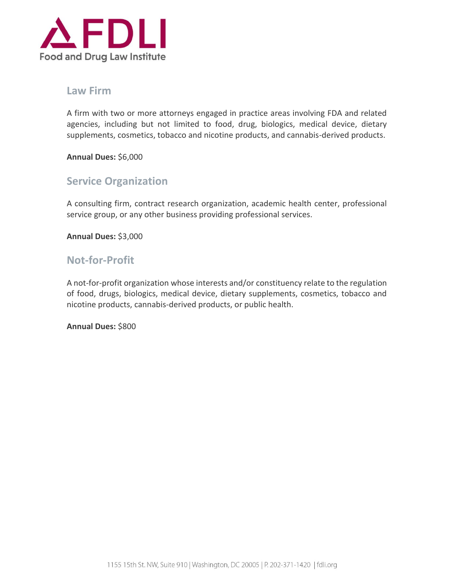

### **Law Firm**

A firm with two or more attorneys engaged in practice areas involving FDA and related agencies, including but not limited to food, drug, biologics, medical device, dietary supplements, cosmetics, tobacco and nicotine products, and cannabis-derived products.

**Annual Dues:** \$6,000

### **Service Organization**

A consulting firm, contract research organization, academic health center, professional service group, or any other business providing professional services.

**Annual Dues:** \$3,000

### **Not-for-Profit**

A not-for-profit organization whose interests and/or constituency relate to the regulation of food, drugs, biologics, medical device, dietary supplements, cosmetics, tobacco and nicotine products, cannabis-derived products, or public health.

**Annual Dues:** \$800